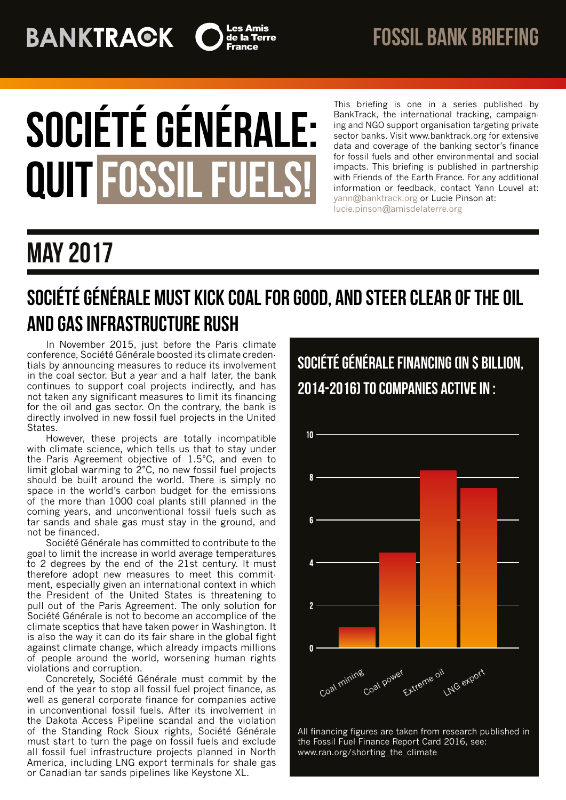# **BANKTRAGK**



# SOCIÉTÉ GÉNÉRALE: **QUIT FOSSIL FUELS!**

This briefing is one in a series published by BankTrack, the international tracking, campaigning and NGO support organisation targeting private sector banks. Visit www.banktrack.org for extensive data and coverage of the banking sector's finance for fossil fuels and other environmental and social impacts. This briefing is published in partnership with Friends of the Earth France. For any additional information or feedback, contact Yann Louvel at: [yann@banktrack.org](mailto:yann@banktrack.org) or Lucie Pinson at: [lucie.pinson@amisdelaterre.org](mailto:lucie.pinson@amisdelaterre.org)

## may 2017

## Société Générale must kick coal for good, and steer clear of the oil and gas infrastructure rush

In November 2015, just before the Paris climate conference, Société Générale boosted its climate credentials by announcing measures to reduce its involvement in the coal sector. But a year and a half later, the bank continues to support coal projects indirectly, and has not taken any significant measures to limit its financing for the oil and gas sector. On the contrary, the bank is directly involved in new fossil fuel projects in the United States.

However, these projects are totally incompatible with climate science, which tells us that to stay under the Paris Agreement objective of 1.5°C, and even to limit global warming to 2°C, no new fossil fuel projects should be built around the world. There is simply no space in the world's carbon budget for the emissions of the more than 1000 coal plants still planned in the coming years, and unconventional fossil fuels such as tar sands and shale gas must stay in the ground, and not be financed.

Société Générale has committed to contribute to the goal to limit the increase in world average temperatures to 2 degrees by the end of the 21st century. It must therefore adopt new measures to meet this commitment, especially given an international context in which the President of the United States is threatening to pull out of the Paris Agreement. The only solution for Société Générale is not to become an accomplice of the climate sceptics that have taken power in Washington. It is also the way it can do its fair share in the global fight against climate change, which already impacts millions of people around the world, worsening human rights violations and corruption.

Concretely, Société Générale must commit by the end of the year to stop all fossil fuel project finance, as well as general corporate finance for companies active in unconventional fossil fuels. After its involvement in the Dakota Access Pipeline scandal and the violation of the Standing Rock Sioux rights, Société Générale must start to turn the page on fossil fuels and exclude all fossil fuel infrastructure projects planned in North America, including LNG export terminals for shale gas or Canadian tar sands pipelines like Keystone XL.

## Société Générale FINANCING (IN \$ BILLION, 2014-2016) TO COMPANIES ACTIVE IN :



All financing figures are taken from research published in the Fossil Fuel Finance Report Card 2016, see: www.ran.org/shorting\_the\_climate